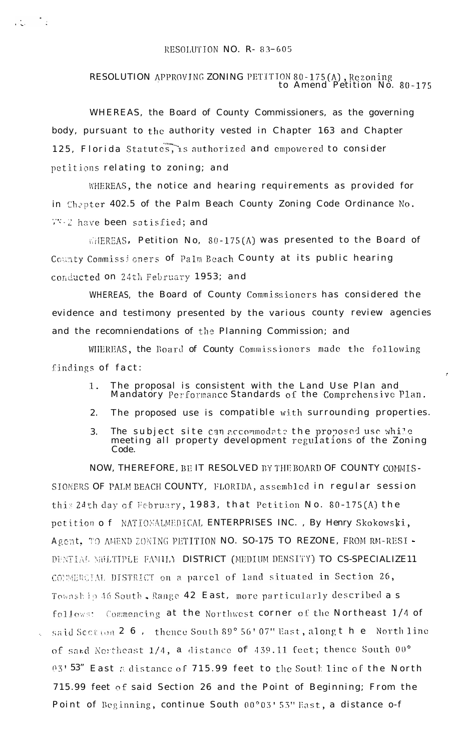## RESOLUTION NO. R-83-605

 $\mathcal{L}^{(1)}$ 

## RESOLUTION APPROVING ZONING PETITION 80-175(A), Rezoning<br>to Amend Petition No. 80-175

WHEREAS, the Board of County Commissioners, as the governing body, pursuant to the authority vested in Chapter 163 and Chapter 125, Florida Statutes, is authorized and empowered to consider petitions relating to zoning; and

WHEREAS, the notice and hearing requirements as provided for in Chapter 402.5 of the Palm Beach County Zoning Code Ordinance No. WWW-2 have been satisfied; and

**WHEREAS**, Petition No. 80-175(A) was presented to the Board of County Commissioners of Palm Beach County at its public hearing conducted on 24th February 1953; and

WHEREAS, the Board of County Commissioners has considered the evidence and testimony presented by the various county review agencies and the recomniendations of the Planning Commission; and

WHEREAS, the Board of County Commissioners made the following findings of fact:

> The proposal is consistent with the Land Use Plan and<br>Mandatory Performance Standards of the Comprehensive Plan.  $1$ .

 $\epsilon$ 

- The proposed use is compatible with surrounding properties. 2.
- The subject site can accommodate the proposed use while<br>meeting all property development regulations of the Zoning 3. Code.

NOW, THEREFORE, BE IT RESOLVED BY THE BOARD OF COUNTY COMMIS-SIONERS OF PALM BEACH COUNTY, FLORIDA, assembled in regular session this 24th day of February, 1983, that Petition No. 80-175(A) the petition of NATIONALMEDICAL ENTERPRISES INC., By Henry Skokowski, Agent. TO AMEND ZONING PETITION NO. SO-175 TO REZONE, FROM RM-RESI -DENTIAL MULTIPLE FAMILY DISTRICT (MEDIUM DENSITY) TO CS-SPECIALIZE11 CONNERCIAL DISTRICT on a parcel of land situated in Section 26, Township 46 South, Range 42 East, more particularly described as follows: Commencing at the Northwest corner of the Northeast 1/4 of said Section 2 6, thence South 89° 56' 07" East, along the North line of said Northeast  $1/4$ , a distance of 439.11 feet; thence South 00 $^{\circ}$ 03'53" East a distance of 715.99 feet to the South line of the North 715.99 feet of said Section 26 and the Point of Beginning; From the Point of Beginning, continue South 00°03' 53" East, a distance o-f